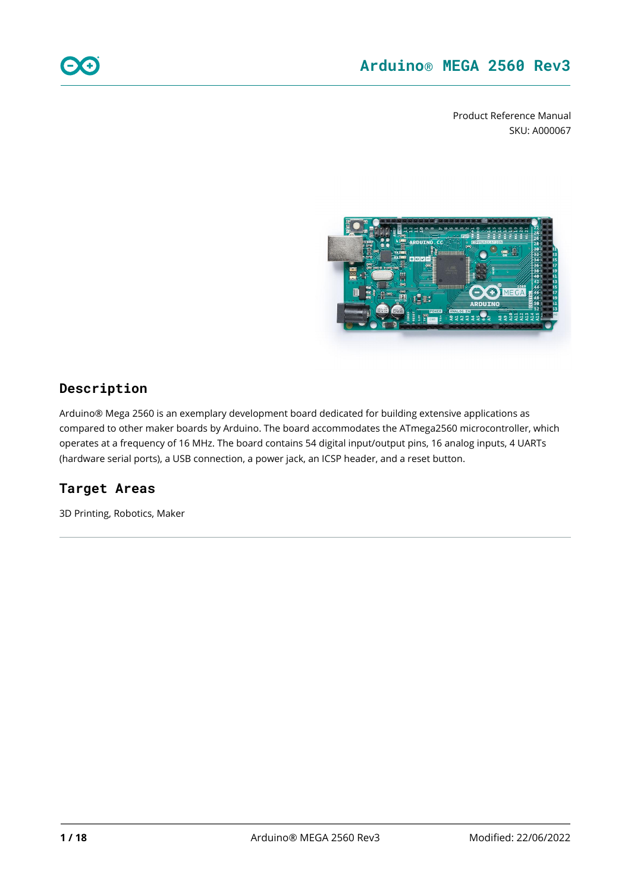Product Reference Manual SKU: A000067



### **Description**

Arduino® Mega 2560 is an exemplary development board dedicated for building extensive applications as compared to other maker boards by Arduino. The board accommodates the ATmega2560 microcontroller, which operates at a frequency of 16 MHz. The board contains 54 digital input/output pins, 16 analog inputs, 4 UARTs (hardware serial ports), a USB connection, a power jack, an ICSP header, and a reset button.

### **Target Areas**

3D Printing, Robotics, Maker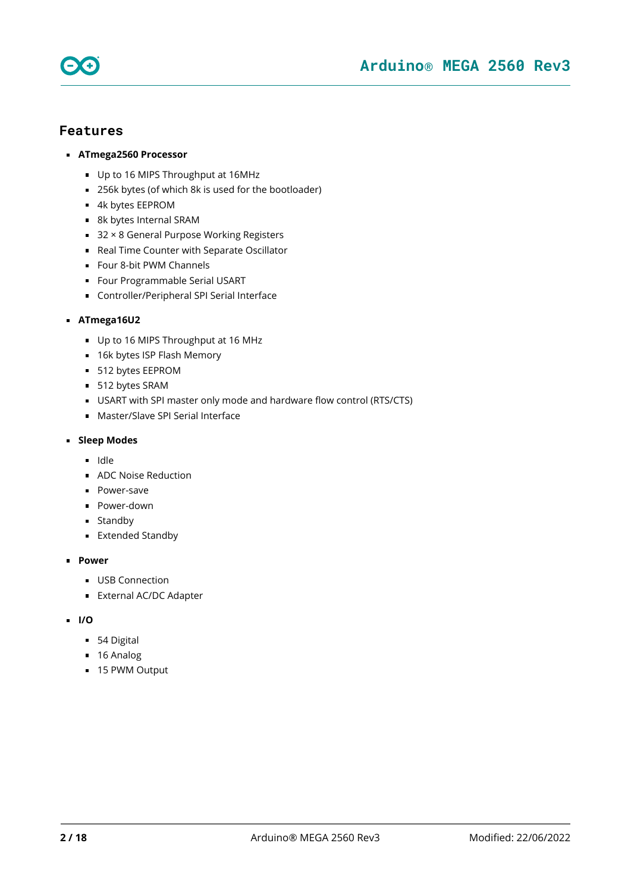



- **ATmega2560 Processor**
	- Up to 16 MIPS Throughput at 16MHz
	- 256k bytes (of which 8k is used for the bootloader)
	- 4k bytes EEPROM
	- 8k bytes Internal SRAM
	- 32 × 8 General Purpose Working Registers
	- Real Time Counter with Separate Oscillator
	- Four 8-bit PWM Channels
	- **Four Programmable Serial USART**
	- Controller/Peripheral SPI Serial Interface

#### **ATmega16U2**

- Up to 16 MIPS Throughput at 16 MHz
- 16k bytes ISP Flash Memory
- **512 bytes EEPROM**
- 512 bytes SRAM
- USART with SPI master only mode and hardware flow control (RTS/CTS)
- **Master/Slave SPI Serial Interface**

#### **Sleep Modes**

- ldle
- **ADC Noise Reduction**
- **Power-save**
- **Power-down**
- **Standby**
- Extended Standby

#### **Power**

- **USB Connection**
- **External AC/DC Adapter**
- **I/O**
	- **54 Digital**
	- 16 Analog
	- 15 PWM Output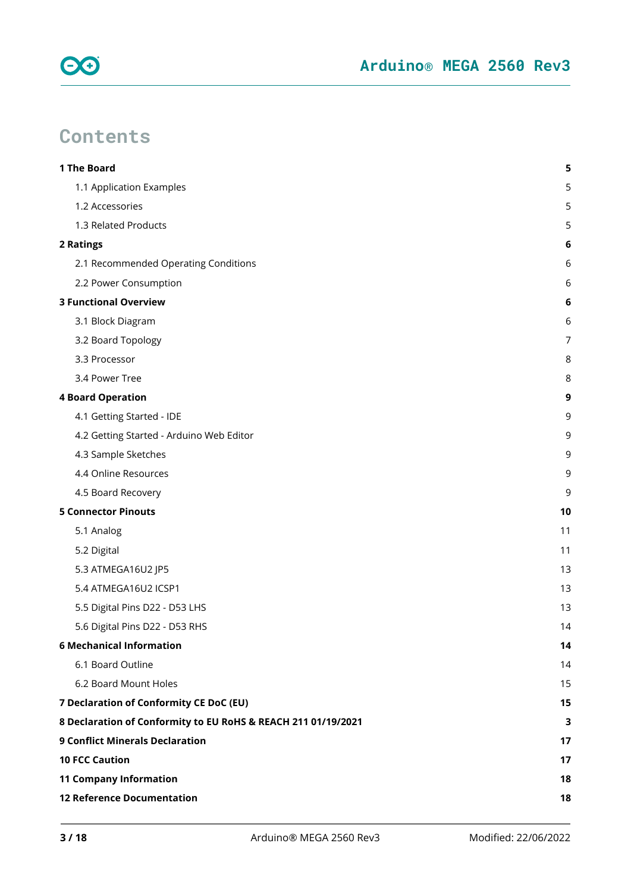

# **Contents**

| 1 The Board                                                   | 5  |
|---------------------------------------------------------------|----|
| 1.1 Application Examples                                      | 5  |
| 1.2 Accessories                                               | 5  |
| 1.3 Related Products                                          | 5  |
| <b>2 Ratings</b>                                              | 6  |
| 2.1 Recommended Operating Conditions                          | 6  |
| 2.2 Power Consumption                                         | 6  |
| <b>3 Functional Overview</b>                                  | 6  |
| 3.1 Block Diagram                                             | 6  |
| 3.2 Board Topology                                            | 7  |
| 3.3 Processor                                                 | 8  |
| 3.4 Power Tree                                                | 8  |
| <b>4 Board Operation</b>                                      | 9  |
| 4.1 Getting Started - IDE                                     | 9  |
| 4.2 Getting Started - Arduino Web Editor                      | 9  |
| 4.3 Sample Sketches                                           | 9  |
| 4.4 Online Resources                                          | 9  |
| 4.5 Board Recovery                                            | 9  |
| <b>5 Connector Pinouts</b>                                    | 10 |
| 5.1 Analog                                                    | 11 |
| 5.2 Digital                                                   | 11 |
| 5.3 ATMEGA16U2 JP5                                            | 13 |
| 5.4 ATMEGA16U2 ICSP1                                          | 13 |
| 5.5 Digital Pins D22 - D53 LHS                                | 13 |
| 5.6 Digital Pins D22 - D53 RHS                                | 14 |
| <b>6 Mechanical Information</b>                               | 14 |
| 6.1 Board Outline                                             | 14 |
| 6.2 Board Mount Holes                                         | 15 |
| 7 Declaration of Conformity CE DoC (EU)                       | 15 |
| 8 Declaration of Conformity to EU RoHS & REACH 211 01/19/2021 | 3  |
| <b>9 Conflict Minerals Declaration</b>                        | 17 |
| <b>10 FCC Caution</b>                                         | 17 |
| <b>11 Company Information</b>                                 | 18 |
| <b>12 Reference Documentation</b>                             | 18 |
|                                                               |    |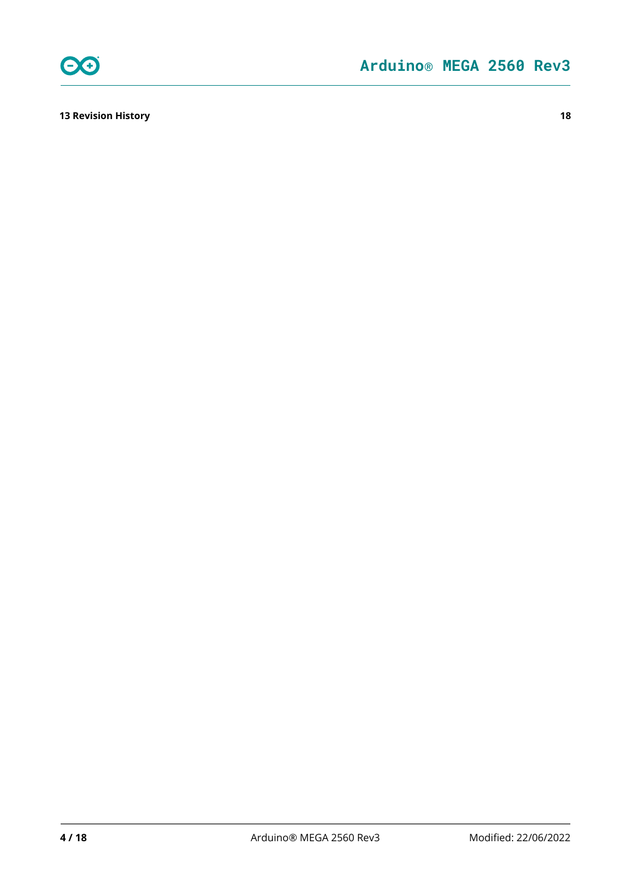

**[13 Revision History](#page-17-2) 18**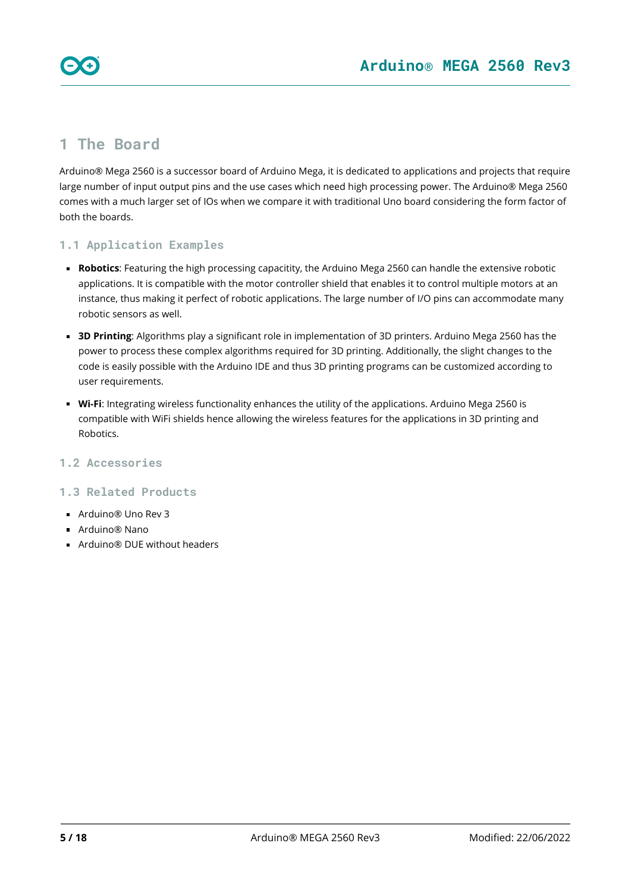

### <span id="page-4-0"></span>**1 The Board**

Arduino® Mega 2560 is a successor board of Arduino Mega, it is dedicated to applications and projects that require large number of input output pins and the use cases which need high processing power. The Arduino® Mega 2560 comes with a much larger set of IOs when we compare it with traditional Uno board considering the form factor of both the boards.

### <span id="page-4-1"></span>**1.1 Application Examples**

- **Robotics**: Featuring the high processing capacitity, the Arduino Mega 2560 can handle the extensive robotic applications. It is compatible with the motor controller shield that enables it to control multiple motors at an instance, thus making it perfect of robotic applications. The large number of I/O pins can accommodate many robotic sensors as well.
- **3D Printing**: Algorithms play a significant role in implementation of 3D printers. Arduino Mega 2560 has the power to process these complex algorithms required for 3D printing. Additionally, the slight changes to the code is easily possible with the Arduino IDE and thus 3D printing programs can be customized according to user requirements.
- **Wi-Fi**: Integrating wireless functionality enhances the utility of the applications. Arduino Mega 2560 is compatible with WiFi shields hence allowing the wireless features for the applications in 3D printing and Robotics.

### <span id="page-4-2"></span>**1.2 Accessories**

### <span id="page-4-3"></span>**1.3 Related Products**

- Arduino<sup>®</sup> Uno Rev 3
- Arduino® Nano
- Arduino® DUF without headers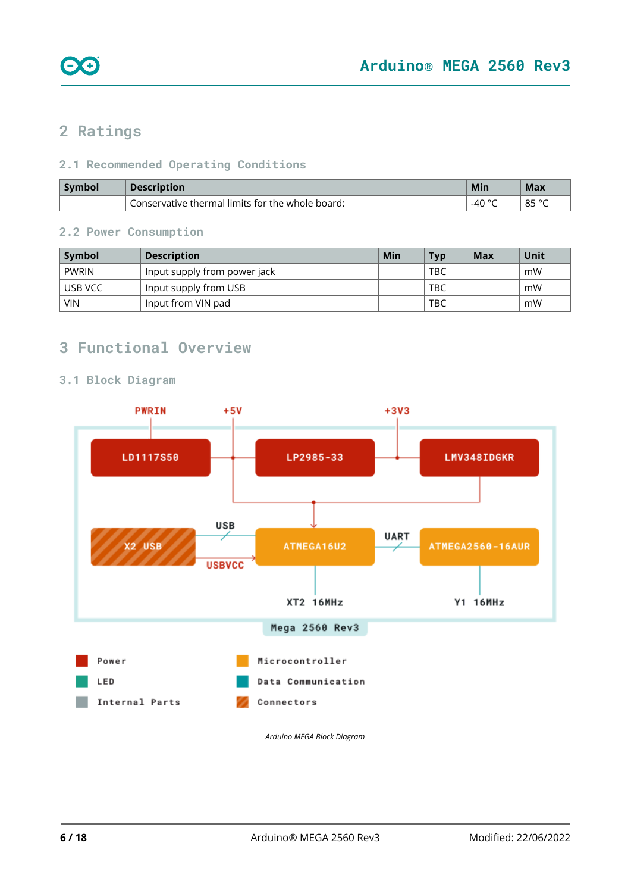

### <span id="page-5-0"></span>**2 Ratings**

### <span id="page-5-1"></span>**2.1 Recommended Operating Conditions**

| <b>Symbol</b> | <b>Description</b>                               | Min                     | Max                |
|---------------|--------------------------------------------------|-------------------------|--------------------|
|               | Conservative thermal limits for the whole board: | $\Lambda \cap C$<br>-46 | $QE^{\circ}$<br>ഠാ |

#### <span id="page-5-2"></span>**2.2 Power Consumption**

| Symbol     | <b>Description</b>           | Min | <b>Typ</b> | Max | <b>Unit</b> |
|------------|------------------------------|-----|------------|-----|-------------|
| PWRIN      | Input supply from power jack |     | <b>TBC</b> |     | . mW        |
| l USB VCC  | Input supply from USB        |     | <b>TBC</b> |     | mW          |
| <b>VIN</b> | Input from VIN pad           |     | <b>TBC</b> |     | mW          |

### <span id="page-5-3"></span>**3 Functional Overview**

### <span id="page-5-4"></span>**3.1 Block Diagram**

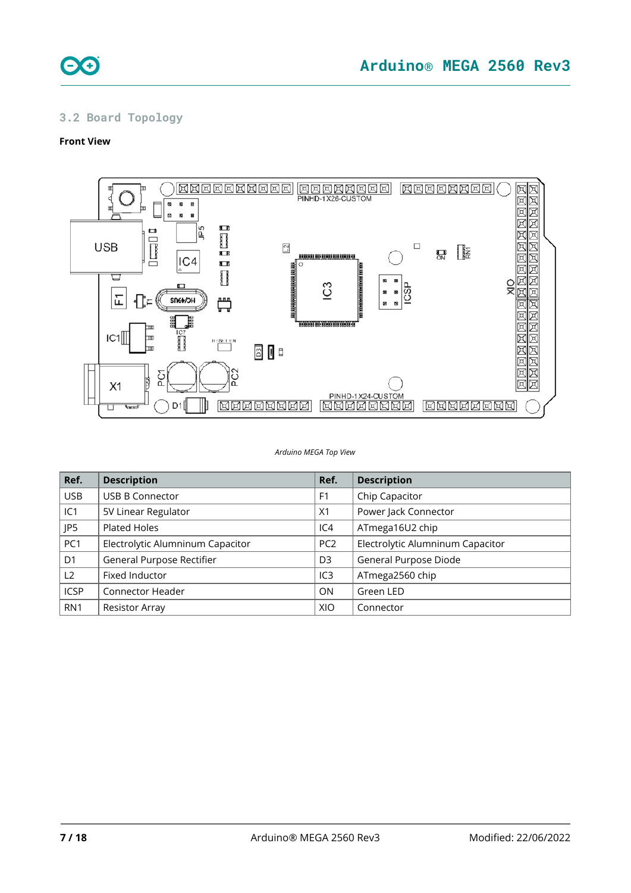

### <span id="page-6-0"></span>**3.2 Board Topology**

#### **Front View**



*Arduino MEGA Top View*

| Ref.            | <b>Description</b>               | Ref.            | <b>Description</b>               |
|-----------------|----------------------------------|-----------------|----------------------------------|
| <b>USB</b>      | <b>USB B Connector</b>           | F <sub>1</sub>  | Chip Capacitor                   |
| IC1             | 5V Linear Regulator              | X1              | Power Jack Connector             |
| JP5             | Plated Holes                     | IC4             | ATmega16U2 chip                  |
| PC <sub>1</sub> | Electrolytic Alumninum Capacitor | PC <sub>2</sub> | Electrolytic Alumninum Capacitor |
| D <sub>1</sub>  | General Purpose Rectifier        | D <sub>3</sub>  | General Purpose Diode            |
| L2              | Fixed Inductor                   | IC <sub>3</sub> | ATmega2560 chip                  |
| <b>ICSP</b>     | <b>Connector Header</b>          | ON              | Green LED                        |
| RN <sub>1</sub> | <b>Resistor Array</b>            | XIO             | Connector                        |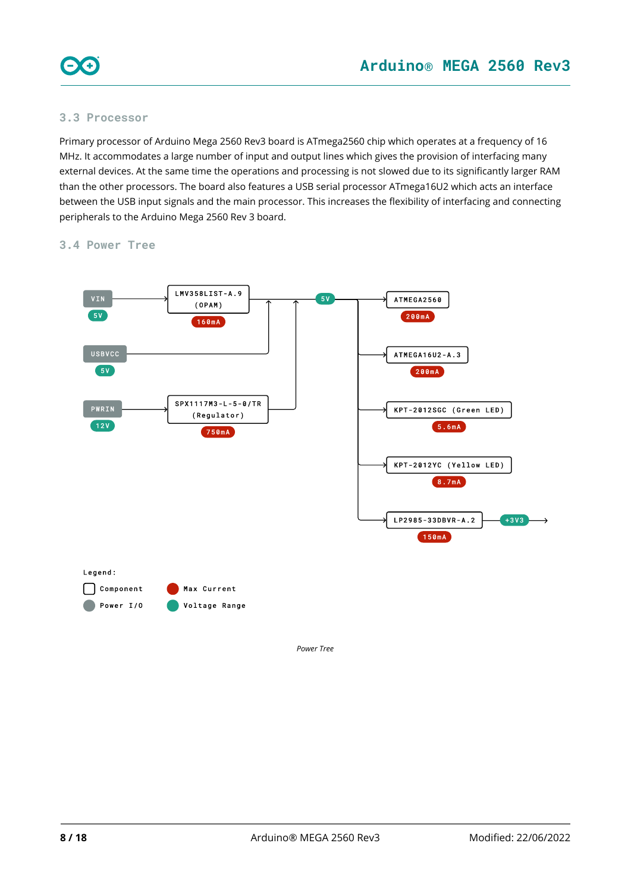

#### <span id="page-7-0"></span>**3.3 Processor**

Primary processor of Arduino Mega 2560 Rev3 board is ATmega2560 chip which operates at a frequency of 16 MHz. It accommodates a large number of input and output lines which gives the provision of interfacing many external devices. At the same time the operations and processing is not slowed due to its significantly larger RAM than the other processors. The board also features a USB serial processor ATmega16U2 which acts an interface between the USB input signals and the main processor. This increases the flexibility of interfacing and connecting peripherals to the Arduino Mega 2560 Rev 3 board.

#### <span id="page-7-1"></span>**3.4 Power Tree**



*Power Tree*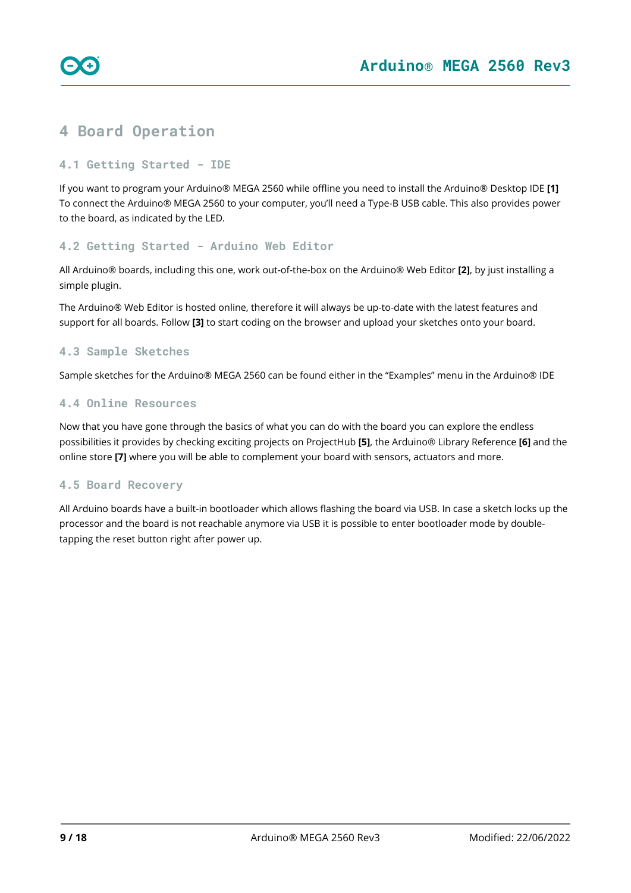

### <span id="page-8-0"></span>**4 Board Operation**

### <span id="page-8-1"></span>**4.1 Getting Started - IDE**

If you want to program your Arduino® MEGA 2560 while offline you need to install the Arduino® Desktop IDE **[1]** To connect the Arduino® MEGA 2560 to your computer, you'll need a Type-B USB cable. This also provides power to the board, as indicated by the LED.

#### <span id="page-8-2"></span>**4.2 Getting Started - Arduino Web Editor**

All Arduino® boards, including this one, work out-of-the-box on the Arduino® Web Editor **[2]**, by just installing a simple plugin.

The Arduino® Web Editor is hosted online, therefore it will always be up-to-date with the latest features and support for all boards. Follow **[3]** to start coding on the browser and upload your sketches onto your board.

### <span id="page-8-3"></span>**4.3 Sample Sketches**

Sample sketches for the Arduino® MEGA 2560 can be found either in the "Examples" menu in the Arduino® IDE

#### <span id="page-8-4"></span>**4.4 Online Resources**

Now that you have gone through the basics of what you can do with the board you can explore the endless possibilities it provides by checking exciting projects on ProjectHub **[5]**, the Arduino® Library Reference **[6]** and the online store **[7]** where you will be able to complement your board with sensors, actuators and more.

#### <span id="page-8-5"></span>**4.5 Board Recovery**

All Arduino boards have a built-in bootloader which allows flashing the board via USB. In case a sketch locks up the processor and the board is not reachable anymore via USB it is possible to enter bootloader mode by doubletapping the reset button right after power up.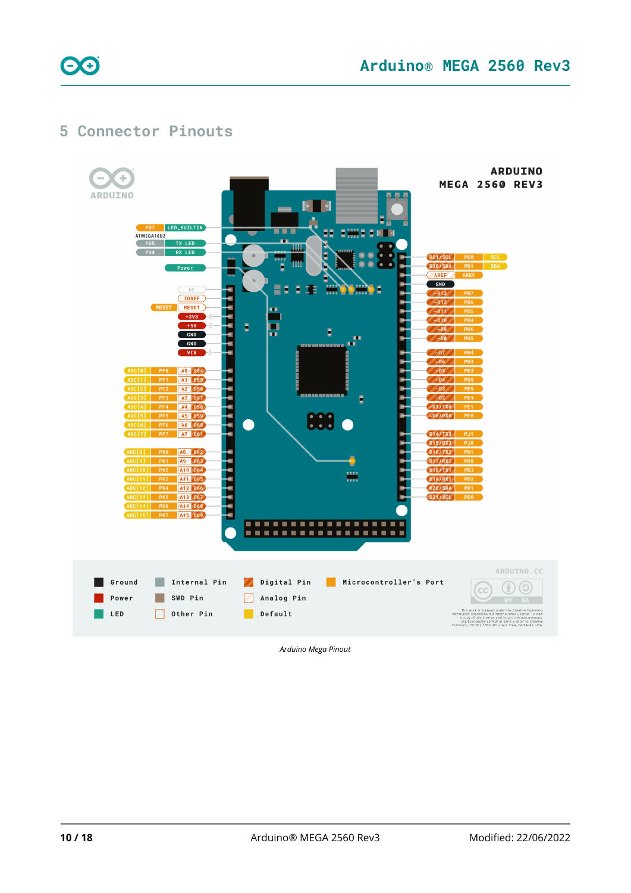

### **Arduino® MEGA 2560 Rev3**

### <span id="page-9-0"></span>**5 Connector Pinouts**



*Arduino Mega Pinout*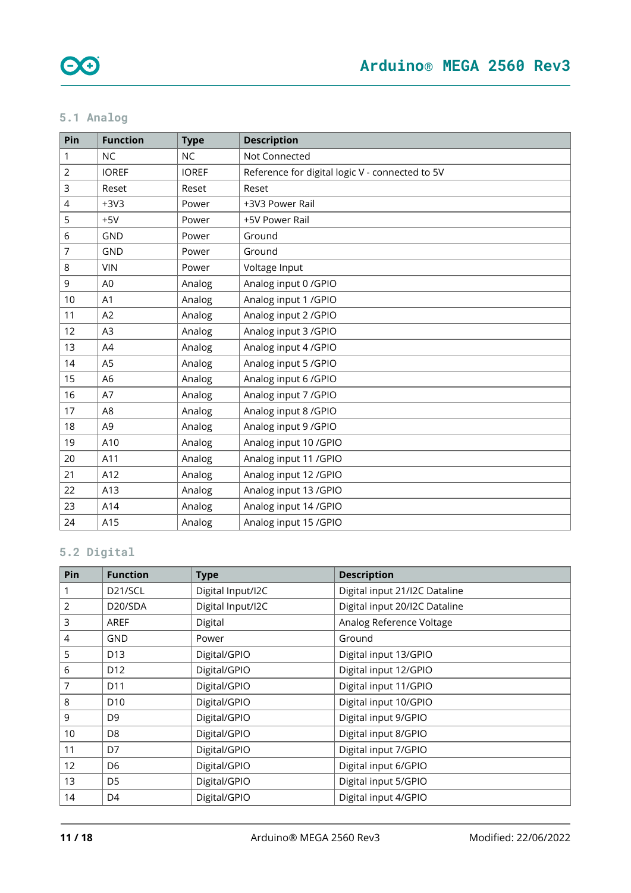### <span id="page-10-0"></span>**5.1 Analog**

| Pin            | <b>Function</b> | <b>Type</b>  | <b>Description</b>                              |
|----------------|-----------------|--------------|-------------------------------------------------|
| 1              | <b>NC</b>       | <b>NC</b>    | Not Connected                                   |
| 2              | <b>IOREF</b>    | <b>IOREF</b> | Reference for digital logic V - connected to 5V |
| 3              | Reset           | Reset        | Reset                                           |
| $\overline{4}$ | $+3V3$          | Power        | +3V3 Power Rail                                 |
| 5              | $+5V$           | Power        | +5V Power Rail                                  |
| 6              | <b>GND</b>      | Power        | Ground                                          |
| 7              | <b>GND</b>      | Power        | Ground                                          |
| 8              | <b>VIN</b>      | Power        | Voltage Input                                   |
| $\mathsf 9$    | A <sub>0</sub>  | Analog       | Analog input 0 / GPIO                           |
| 10             | A1              | Analog       | Analog input 1 / GPIO                           |
| 11             | A2              | Analog       | Analog input 2 / GPIO                           |
| 12             | A <sub>3</sub>  | Analog       | Analog input 3 / GPIO                           |
| 13             | A4              | Analog       | Analog input 4 / GPIO                           |
| 14             | A <sub>5</sub>  | Analog       | Analog input 5 / GPIO                           |
| 15             | A <sub>6</sub>  | Analog       | Analog input 6 / GPIO                           |
| 16             | A7              | Analog       | Analog input 7 / GPIO                           |
| 17             | A <sub>8</sub>  | Analog       | Analog input 8 / GPIO                           |
| 18             | A <sub>9</sub>  | Analog       | Analog input 9 / GPIO                           |
| 19             | A10             | Analog       | Analog input 10 / GPIO                          |
| 20             | A11             | Analog       | Analog input 11 / GPIO                          |
| 21             | A12             | Analog       | Analog input 12 / GPIO                          |
| 22             | A13             | Analog       | Analog input 13 / GPIO                          |
| 23             | A14             | Analog       | Analog input 14 / GPIO                          |
| 24             | A15             | Analog       | Analog input 15 / GPIO                          |

### <span id="page-10-1"></span>**5.2 Digital**

| Pin             | <b>Function</b>      | <b>Type</b>       | <b>Description</b>            |
|-----------------|----------------------|-------------------|-------------------------------|
|                 | D <sub>21</sub> /SCL | Digital Input/I2C | Digital input 21/I2C Dataline |
| 2               | D20/SDA              | Digital Input/I2C | Digital input 20/I2C Dataline |
| 3               | AREF                 | Digital           | Analog Reference Voltage      |
| 4               | GND                  | Power             | Ground                        |
| 5               | D <sub>13</sub>      | Digital/GPIO      | Digital input 13/GPIO         |
| 6               | D <sub>12</sub>      | Digital/GPIO      | Digital input 12/GPIO         |
| 7               | D <sub>11</sub>      | Digital/GPIO      | Digital input 11/GPIO         |
| 8               | D <sub>10</sub>      | Digital/GPIO      | Digital input 10/GPIO         |
| 9               | D <sub>9</sub>       | Digital/GPIO      | Digital input 9/GPIO          |
| 10 <sup>1</sup> | D <sub>8</sub>       | Digital/GPIO      | Digital input 8/GPIO          |
| 11              | D7                   | Digital/GPIO      | Digital input 7/GPIO          |
| 12              | D <sub>6</sub>       | Digital/GPIO      | Digital input 6/GPIO          |
| 13              | D <sub>5</sub>       | Digital/GPIO      | Digital input 5/GPIO          |
| 14              | D4                   | Digital/GPIO      | Digital input 4/GPIO          |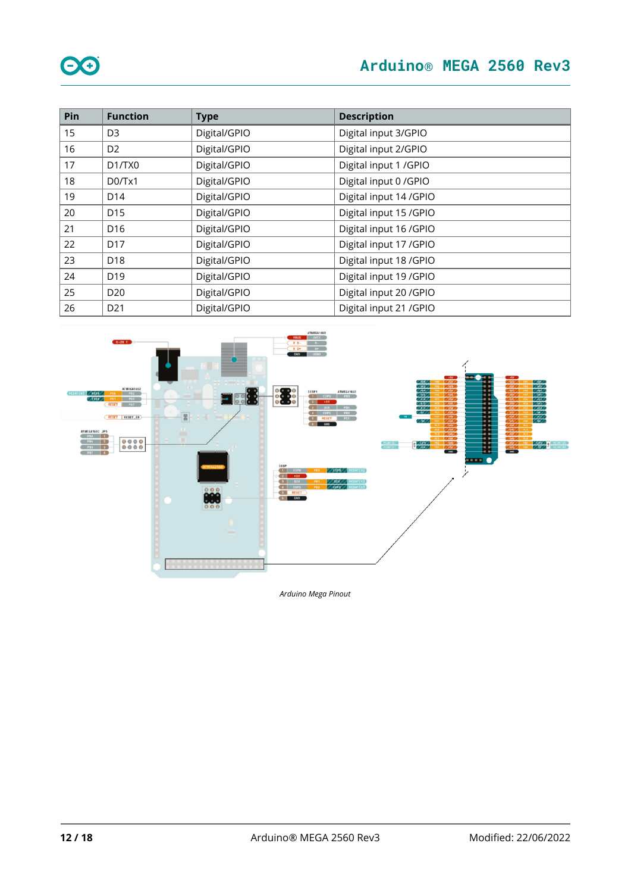| Pin | <b>Function</b>                 | <b>Type</b>  | <b>Description</b>      |
|-----|---------------------------------|--------------|-------------------------|
| 15  | D <sub>3</sub>                  | Digital/GPIO | Digital input 3/GPIO    |
| 16  | D <sub>2</sub>                  | Digital/GPIO | Digital input 2/GPIO    |
| 17  | D <sub>1</sub> /T <sub>X0</sub> | Digital/GPIO | Digital input 1 / GPIO  |
| 18  | D0/Tx1                          | Digital/GPIO | Digital input 0 / GPIO  |
| 19  | D <sub>14</sub>                 | Digital/GPIO | Digital input 14 / GPIO |
| 20  | D <sub>15</sub>                 | Digital/GPIO | Digital input 15 / GPIO |
| 21  | D <sub>16</sub>                 | Digital/GPIO | Digital input 16 / GPIO |
| 22  | D <sub>17</sub>                 | Digital/GPIO | Digital input 17 / GPIO |
| 23  | D18                             | Digital/GPIO | Digital input 18 / GPIO |
| 24  | D <sub>19</sub>                 | Digital/GPIO | Digital input 19 / GPIO |
| 25  | D <sub>20</sub>                 | Digital/GPIO | Digital input 20 / GPIO |
| 26  | D <sub>21</sub>                 | Digital/GPIO | Digital input 21 / GPIO |



*Arduino Mega Pinout*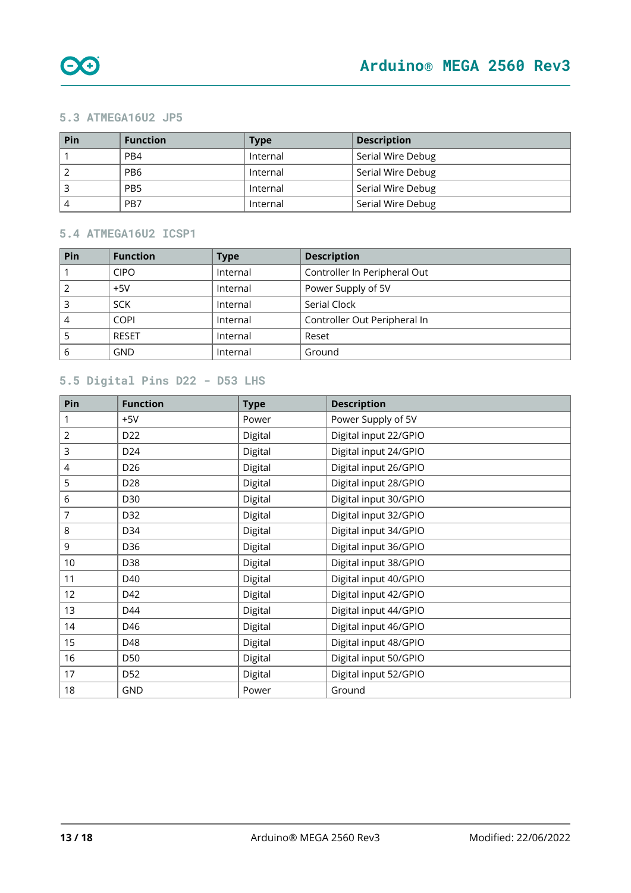

#### <span id="page-12-0"></span>**5.3 ATMEGA16U2 JP5**

| Pin | <b>Function</b> | <b>Type</b> | <b>Description</b> |
|-----|-----------------|-------------|--------------------|
|     | PB4             | Internal    | Serial Wire Debug  |
|     | PB <sub>6</sub> | Internal    | Serial Wire Debug  |
|     | PB <sub>5</sub> | Internal    | Serial Wire Debug  |
|     | PB7             | Internal    | Serial Wire Debug  |

#### <span id="page-12-1"></span>**5.4 ATMEGA16U2 ICSP1**

| <b>Function</b> | <b>Type</b> | <b>Description</b>           |
|-----------------|-------------|------------------------------|
| <b>CIPO</b>     | Internal    | Controller In Peripheral Out |
| $+5V$           | Internal    | Power Supply of 5V           |
| <b>SCK</b>      | Internal    | Serial Clock                 |
| <b>COPI</b>     | Internal    | Controller Out Peripheral In |
| <b>RESET</b>    | Internal    | Reset                        |
| GND             | Internal    | Ground                       |
|                 |             |                              |

### <span id="page-12-2"></span>**5.5 Digital Pins D22 - D53 LHS**

| Pin | <b>Function</b> | <b>Type</b> | <b>Description</b>    |
|-----|-----------------|-------------|-----------------------|
| 1   | $+5V$           | Power       | Power Supply of 5V    |
| 2   | D <sub>22</sub> | Digital     | Digital input 22/GPIO |
| 3   | D <sub>24</sub> | Digital     | Digital input 24/GPIO |
| 4   | D <sub>26</sub> | Digital     | Digital input 26/GPIO |
| 5   | D <sub>28</sub> | Digital     | Digital input 28/GPIO |
| 6   | D30             | Digital     | Digital input 30/GPIO |
| 7   | D32             | Digital     | Digital input 32/GPIO |
| 8   | D34             | Digital     | Digital input 34/GPIO |
| 9   | D36             | Digital     | Digital input 36/GPIO |
| 10  | D38             | Digital     | Digital input 38/GPIO |
| 11  | D40             | Digital     | Digital input 40/GPIO |
| 12  | D42             | Digital     | Digital input 42/GPIO |
| 13  | D44             | Digital     | Digital input 44/GPIO |
| 14  | D46             | Digital     | Digital input 46/GPIO |
| 15  | D48             | Digital     | Digital input 48/GPIO |
| 16  | D50             | Digital     | Digital input 50/GPIO |
| 17  | D <sub>52</sub> | Digital     | Digital input 52/GPIO |
| 18  | GND             | Power       | Ground                |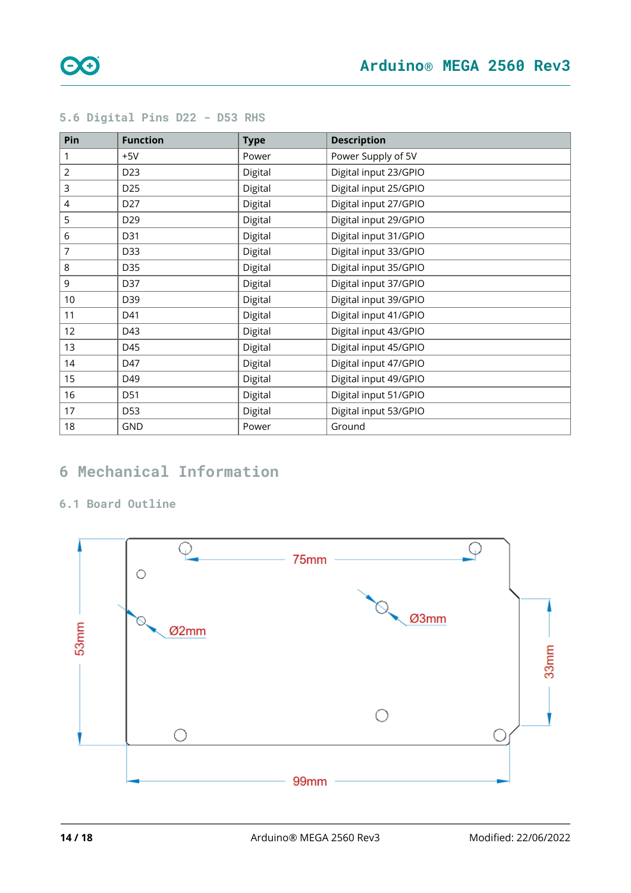| Pin            | <b>Function</b> | <b>Type</b> | <b>Description</b>    |
|----------------|-----------------|-------------|-----------------------|
| 1              | $+5V$           | Power       | Power Supply of 5V    |
| $\overline{2}$ | D <sub>23</sub> | Digital     | Digital input 23/GPIO |
| 3              | D <sub>25</sub> | Digital     | Digital input 25/GPIO |
| 4              | D27             | Digital     | Digital input 27/GPIO |
| 5              | D29             | Digital     | Digital input 29/GPIO |
| 6              | D31             | Digital     | Digital input 31/GPIO |
| 7              | D33             | Digital     | Digital input 33/GPIO |
| 8              | D35             | Digital     | Digital input 35/GPIO |
| 9              | D37             | Digital     | Digital input 37/GPIO |
| 10             | D39             | Digital     | Digital input 39/GPIO |
| 11             | D41             | Digital     | Digital input 41/GPIO |
| 12             | D43             | Digital     | Digital input 43/GPIO |
| 13             | D45             | Digital     | Digital input 45/GPIO |
| 14             | D47             | Digital     | Digital input 47/GPIO |
| 15             | D49             | Digital     | Digital input 49/GPIO |
| 16             | D51             | Digital     | Digital input 51/GPIO |
| 17             | D53             | Digital     | Digital input 53/GPIO |
| 18             | GND             | Power       | Ground                |

### <span id="page-13-0"></span>**5.6 Digital Pins D22 - D53 RHS**

### <span id="page-13-1"></span>**Mechanical Information**

### <span id="page-13-2"></span>**6.1 Board Outline**

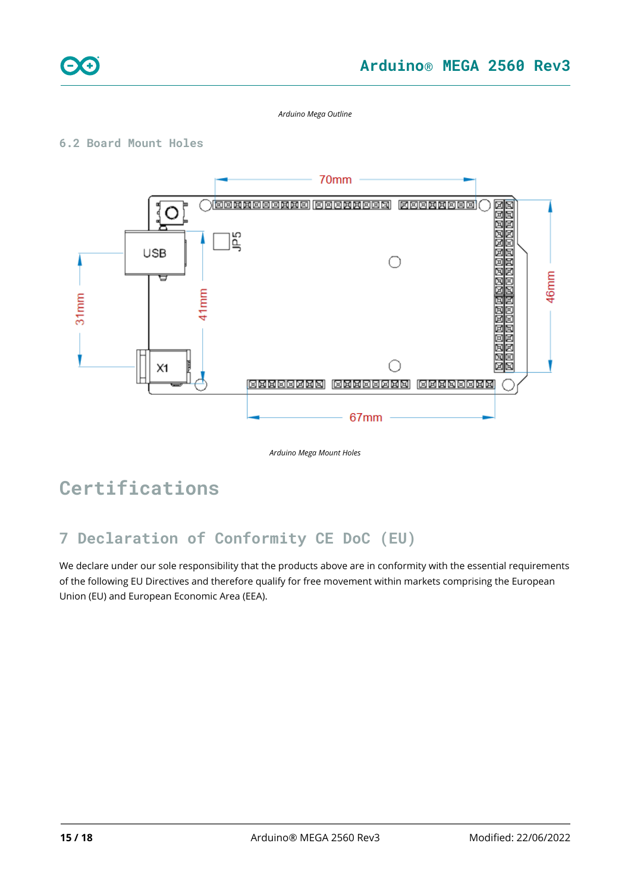

*Arduino Mega Outline*

### <span id="page-14-0"></span>**6.2 Board Mount Holes**



*Arduino Mega Mount Holes*

# **Certifications**

### <span id="page-14-1"></span>**7 Declaration of Conformity CE DoC (EU)**

We declare under our sole responsibility that the products above are in conformity with the essential requirements of the following EU Directives and therefore qualify for free movement within markets comprising the European Union (EU) and European Economic Area (EEA).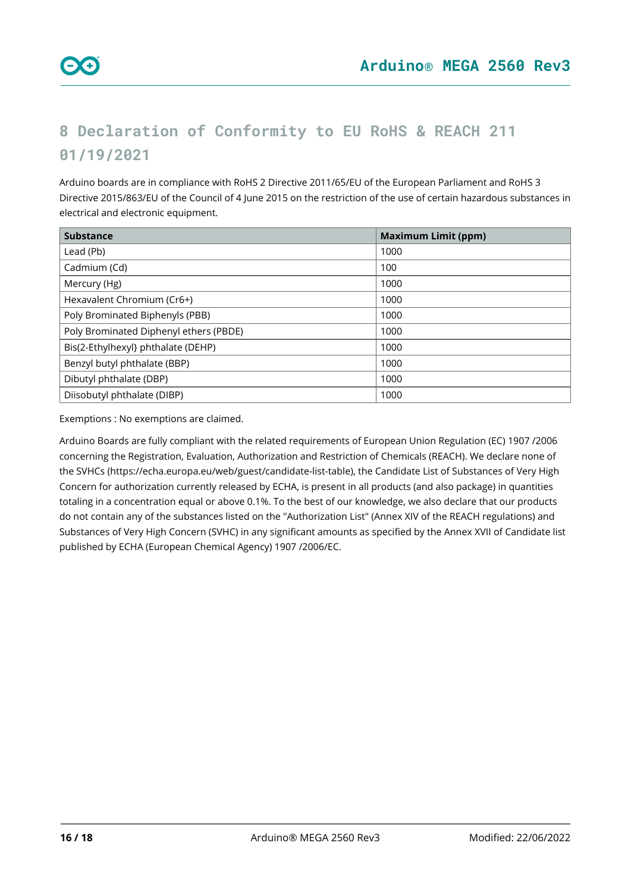## <span id="page-15-0"></span>**8 Declaration of Conformity to EU RoHS & REACH 211 01/19/2021**

Arduino boards are in compliance with RoHS 2 Directive 2011/65/EU of the European Parliament and RoHS 3 Directive 2015/863/EU of the Council of 4 June 2015 on the restriction of the use of certain hazardous substances in electrical and electronic equipment.

| <b>Substance</b>                       | <b>Maximum Limit (ppm)</b> |
|----------------------------------------|----------------------------|
| Lead (Pb)                              | 1000                       |
| Cadmium (Cd)                           | 100                        |
| Mercury (Hg)                           | 1000                       |
| Hexavalent Chromium (Cr6+)             | 1000                       |
| Poly Brominated Biphenyls (PBB)        | 1000                       |
| Poly Brominated Diphenyl ethers (PBDE) | 1000                       |
| Bis(2-Ethylhexyl} phthalate (DEHP)     | 1000                       |
| Benzyl butyl phthalate (BBP)           | 1000                       |
| Dibutyl phthalate (DBP)                | 1000                       |
| Diisobutyl phthalate (DIBP)            | 1000                       |

Exemptions : No exemptions are claimed.

Arduino Boards are fully compliant with the related requirements of European Union Regulation (EC) 1907 /2006 concerning the Registration, Evaluation, Authorization and Restriction of Chemicals (REACH). We declare none of the SVHCs (<https://echa.europa.eu/web/guest/candidate-list-table>), the Candidate List of Substances of Very High Concern for authorization currently released by ECHA, is present in all products (and also package) in quantities totaling in a concentration equal or above 0.1%. To the best of our knowledge, we also declare that our products do not contain any of the substances listed on the "Authorization List" (Annex XIV of the REACH regulations) and Substances of Very High Concern (SVHC) in any significant amounts as specified by the Annex XVII of Candidate list published by ECHA (European Chemical Agency) 1907 /2006/EC.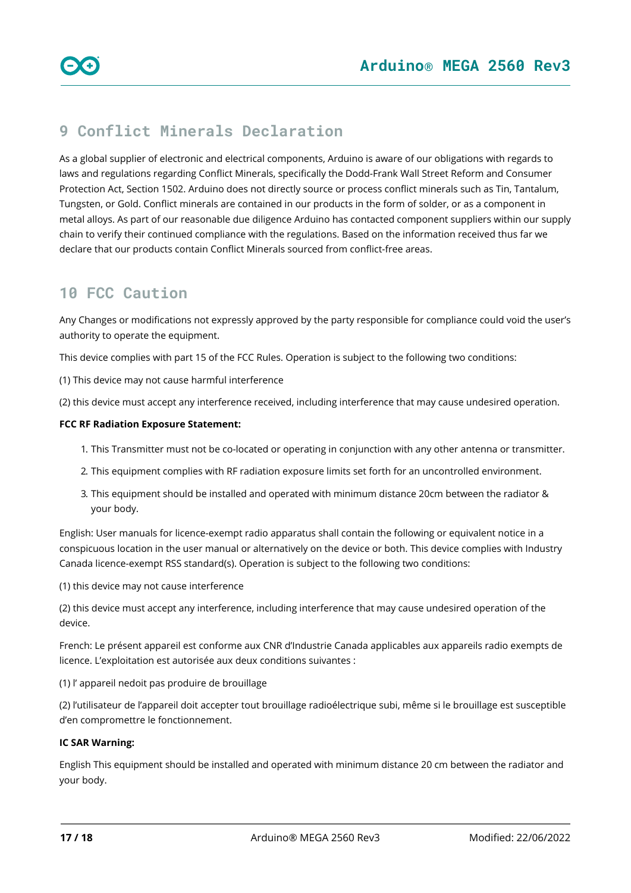### <span id="page-16-0"></span>**9 Conflict Minerals Declaration**

As a global supplier of electronic and electrical components, Arduino is aware of our obligations with regards to laws and regulations regarding Conflict Minerals, specifically the Dodd-Frank Wall Street Reform and Consumer Protection Act, Section 1502. Arduino does not directly source or process conflict minerals such as Tin, Tantalum, Tungsten, or Gold. Conflict minerals are contained in our products in the form of solder, or as a component in metal alloys. As part of our reasonable due diligence Arduino has contacted component suppliers within our supply chain to verify their continued compliance with the regulations. Based on the information received thus far we declare that our products contain Conflict Minerals sourced from conflict-free areas.

### <span id="page-16-1"></span>**10 FCC Caution**

Any Changes or modifications not expressly approved by the party responsible for compliance could void the user's authority to operate the equipment.

This device complies with part 15 of the FCC Rules. Operation is subject to the following two conditions:

(1) This device may not cause harmful interference

(2) this device must accept any interference received, including interference that may cause undesired operation.

#### **FCC RF Radiation Exposure Statement:**

- 1. This Transmitter must not be co-located or operating in conjunction with any other antenna or transmitter.
- 2. This equipment complies with RF radiation exposure limits set forth for an uncontrolled environment.
- 3. This equipment should be installed and operated with minimum distance 20cm between the radiator & your body.

English: User manuals for licence-exempt radio apparatus shall contain the following or equivalent notice in a conspicuous location in the user manual or alternatively on the device or both. This device complies with Industry Canada licence-exempt RSS standard(s). Operation is subject to the following two conditions:

(1) this device may not cause interference

(2) this device must accept any interference, including interference that may cause undesired operation of the device.

French: Le présent appareil est conforme aux CNR d'Industrie Canada applicables aux appareils radio exempts de licence. L'exploitation est autorisée aux deux conditions suivantes :

(1) l' appareil nedoit pas produire de brouillage

(2) l'utilisateur de l'appareil doit accepter tout brouillage radioélectrique subi, même si le brouillage est susceptible d'en compromettre le fonctionnement.

#### **IC SAR Warning:**

English This equipment should be installed and operated with minimum distance 20 cm between the radiator and your body.